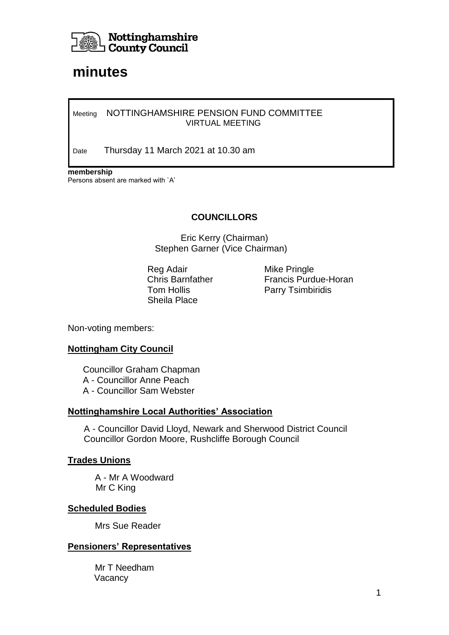

# **minutes**

#### Meeting NOTTINGHAMSHIRE PENSION FUND COMMITTEE VIRTUAL MEETING

Date Thursday 11 March 2021 at 10.30 am

**membership** Persons absent are marked with `A'

# **COUNCILLORS**

Eric Kerry (Chairman) Stephen Garner (Vice Chairman)

Reg Adair **Mike Pringle** Sheila Place

Chris Barnfather Francis Purdue-Horan Tom Hollis **Parry Tsimbiridis** 

Non-voting members:

## **Nottingham City Council**

 Councillor Graham Chapman A - Councillor Anne Peach A - Councillor Sam Webster

#### **Nottinghamshire Local Authorities' Association**

A - Councillor David Lloyd, Newark and Sherwood District Council Councillor Gordon Moore, Rushcliffe Borough Council

#### **Trades Unions**

A - Mr A Woodward Mr C King

## **Scheduled Bodies**

Mrs Sue Reader

## **Pensioners' Representatives**

Mr T Needham Vacancy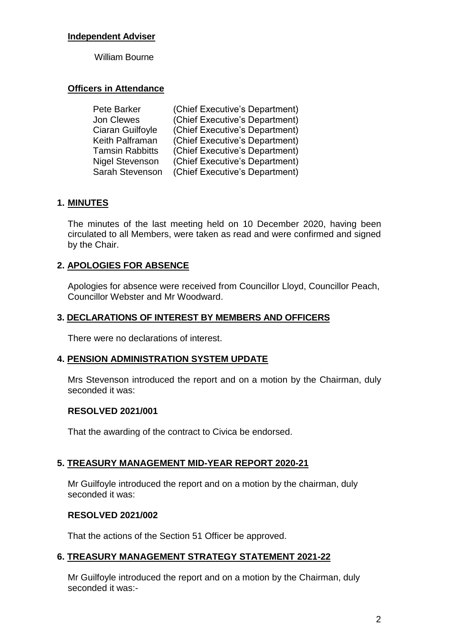# **Independent Adviser**

William Bourne

# **Officers in Attendance**

| Pete Barker            | (Chief Executive's Department) |
|------------------------|--------------------------------|
| Jon Clewes             | (Chief Executive's Department) |
| Ciaran Guilfoyle       | (Chief Executive's Department) |
| Keith Palframan        | (Chief Executive's Department) |
| <b>Tamsin Rabbitts</b> | (Chief Executive's Department) |
| <b>Nigel Stevenson</b> | (Chief Executive's Department) |
| Sarah Stevenson        | (Chief Executive's Department) |

# **1. MINUTES**

The minutes of the last meeting held on 10 December 2020, having been circulated to all Members, were taken as read and were confirmed and signed by the Chair.

# **2. APOLOGIES FOR ABSENCE**

Apologies for absence were received from Councillor Lloyd, Councillor Peach, Councillor Webster and Mr Woodward.

# **3. DECLARATIONS OF INTEREST BY MEMBERS AND OFFICERS**

There were no declarations of interest.

## **4. PENSION ADMINISTRATION SYSTEM UPDATE**

Mrs Stevenson introduced the report and on a motion by the Chairman, duly seconded it was:

## **RESOLVED 2021/001**

That the awarding of the contract to Civica be endorsed.

## **5. TREASURY MANAGEMENT MID-YEAR REPORT 2020-21**

Mr Guilfoyle introduced the report and on a motion by the chairman, duly seconded it was:

## **RESOLVED 2021/002**

That the actions of the Section 51 Officer be approved.

## **6. TREASURY MANAGEMENT STRATEGY STATEMENT 2021-22**

Mr Guilfoyle introduced the report and on a motion by the Chairman, duly seconded it was:-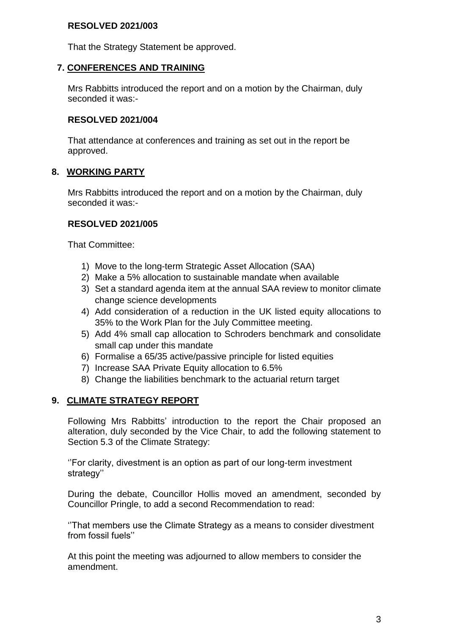# **RESOLVED 2021/003**

That the Strategy Statement be approved.

## **7. CONFERENCES AND TRAINING**

Mrs Rabbitts introduced the report and on a motion by the Chairman, duly seconded it was:-

#### **RESOLVED 2021/004**

That attendance at conferences and training as set out in the report be approved.

## **8. WORKING PARTY**

Mrs Rabbitts introduced the report and on a motion by the Chairman, duly seconded it was:-

#### **RESOLVED 2021/005**

That Committee:

- 1) Move to the long-term Strategic Asset Allocation (SAA)
- 2) Make a 5% allocation to sustainable mandate when available
- 3) Set a standard agenda item at the annual SAA review to monitor climate change science developments
- 4) Add consideration of a reduction in the UK listed equity allocations to 35% to the Work Plan for the July Committee meeting.
- 5) Add 4% small cap allocation to Schroders benchmark and consolidate small cap under this mandate
- 6) Formalise a 65/35 active/passive principle for listed equities
- 7) Increase SAA Private Equity allocation to 6.5%
- 8) Change the liabilities benchmark to the actuarial return target

## **9. CLIMATE STRATEGY REPORT**

Following Mrs Rabbitts' introduction to the report the Chair proposed an alteration, duly seconded by the Vice Chair, to add the following statement to Section 5.3 of the Climate Strategy:

''For clarity, divestment is an option as part of our long-term investment strategy''

During the debate, Councillor Hollis moved an amendment, seconded by Councillor Pringle, to add a second Recommendation to read:

''That members use the Climate Strategy as a means to consider divestment from fossil fuels''

At this point the meeting was adjourned to allow members to consider the amendment.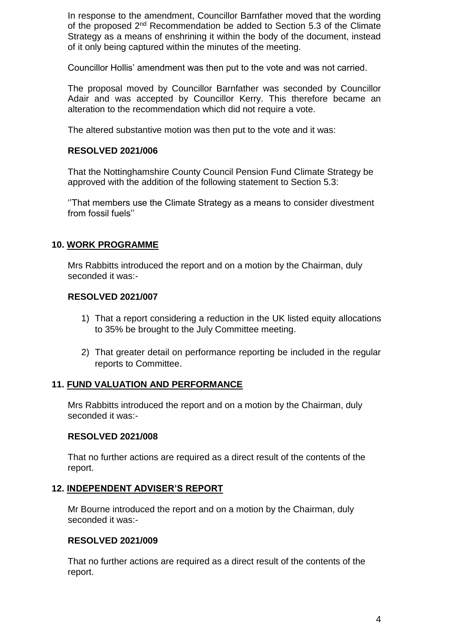In response to the amendment, Councillor Barnfather moved that the wording of the proposed 2<sup>nd</sup> Recommendation be added to Section 5.3 of the Climate Strategy as a means of enshrining it within the body of the document, instead of it only being captured within the minutes of the meeting.

Councillor Hollis' amendment was then put to the vote and was not carried.

The proposal moved by Councillor Barnfather was seconded by Councillor Adair and was accepted by Councillor Kerry. This therefore became an alteration to the recommendation which did not require a vote.

The altered substantive motion was then put to the vote and it was:

#### **RESOLVED 2021/006**

That the Nottinghamshire County Council Pension Fund Climate Strategy be approved with the addition of the following statement to Section 5.3:

''That members use the Climate Strategy as a means to consider divestment from fossil fuels''

## **10. WORK PROGRAMME**

Mrs Rabbitts introduced the report and on a motion by the Chairman, duly seconded it was:-

#### **RESOLVED 2021/007**

- 1) That a report considering a reduction in the UK listed equity allocations to 35% be brought to the July Committee meeting.
- 2) That greater detail on performance reporting be included in the regular reports to Committee.

#### **11. FUND VALUATION AND PERFORMANCE**

Mrs Rabbitts introduced the report and on a motion by the Chairman, duly seconded it was:-

#### **RESOLVED 2021/008**

That no further actions are required as a direct result of the contents of the report.

#### **12. INDEPENDENT ADVISER'S REPORT**

Mr Bourne introduced the report and on a motion by the Chairman, duly seconded it was:-

#### **RESOLVED 2021/009**

That no further actions are required as a direct result of the contents of the report.